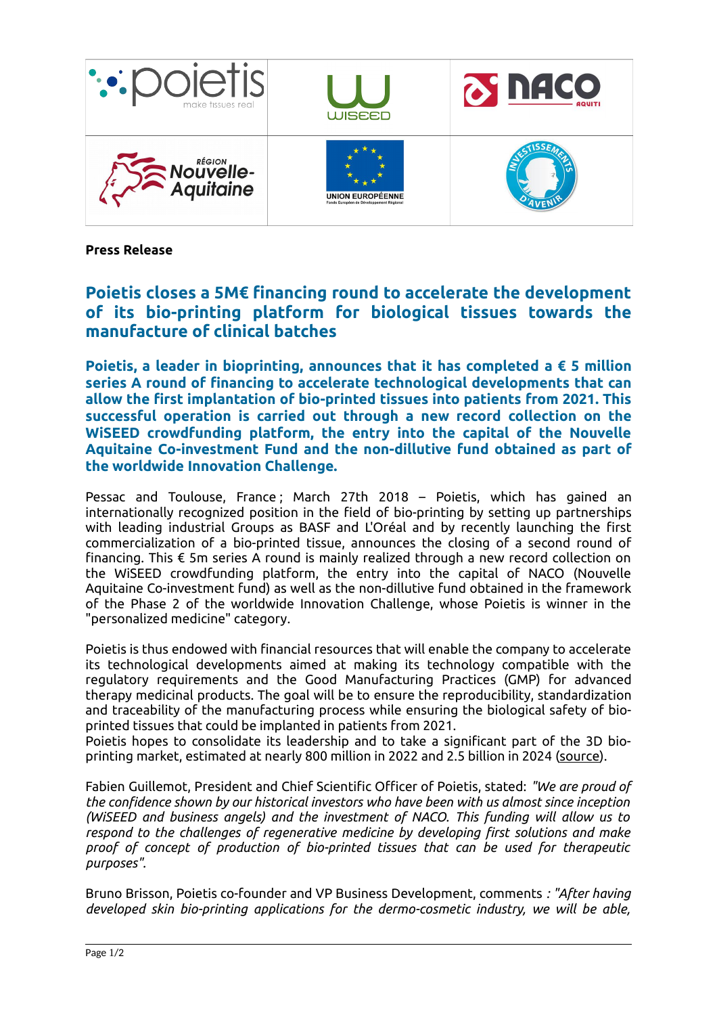

**Press Release**

## **Poietis closes a 5M€ financing round to accelerate the development of its bio-printing platform for biological tissues towards the manufacture of clinical batches**

**Poietis, a leader in bioprinting, announces that it has completed a € 5 million series A round of financing to accelerate technological developments that can allow the first implantation of bio-printed tissues into patients from 2021. This successful operation is carried out through a new record collection on the WiSEED crowdfunding platform, the entry into the capital of the Nouvelle Aquitaine Co-investment Fund and the non-dillutive fund obtained as part of the worldwide Innovation Challenge.**

Pessac and Toulouse, France ; March 27th 2018 – Poietis, which has gained an internationally recognized position in the field of bio-printing by setting up partnerships with leading industrial Groups as BASF and L'Oréal and by recently launching the first commercialization of a bio-printed tissue, announces the closing of a second round of financing. This € 5m series A round is mainly realized through a new record collection on the WiSEED crowdfunding platform, the entry into the capital of NACO (Nouvelle Aquitaine Co-investment fund) as well as the non-dillutive fund obtained in the framework of the Phase 2 of the worldwide Innovation Challenge, whose Poietis is winner in the "personalized medicine" category.

Poietis is thus endowed with financial resources that will enable the company to accelerate its technological developments aimed at making its technology compatible with the regulatory requirements and the Good Manufacturing Practices (GMP) for advanced therapy medicinal products. The goal will be to ensure the reproducibility, standardization and traceability of the manufacturing process while ensuring the biological safety of bioprinted tissues that could be implanted in patients from 2021.

Poietis hopes to consolidate its leadership and to take a significant part of the 3D bio-printing market, estimated at nearly 800 million in 2022 and 2.5 billion in 2024 [\(source\)](https://www.grandviewresearch.com/press-release/global-3d-bioprinting-market).

Fabien Guillemot, President and Chief Scientific Officer of Poietis, stated: *"We are proud of the confidence shown by our historical investors who have been with us almost since inception (WiSEED and business angels) and the investment of NACO. This funding will allow us to respond to the challenges of regenerative medicine by developing first solutions and make proof of concept of production of bio-printed tissues that can be used for therapeutic purposes".*

Bruno Brisson, Poietis co-founder and VP Business Development, comments *: "After having developed skin bio-printing applications for the dermo-cosmetic industry, we will be able,*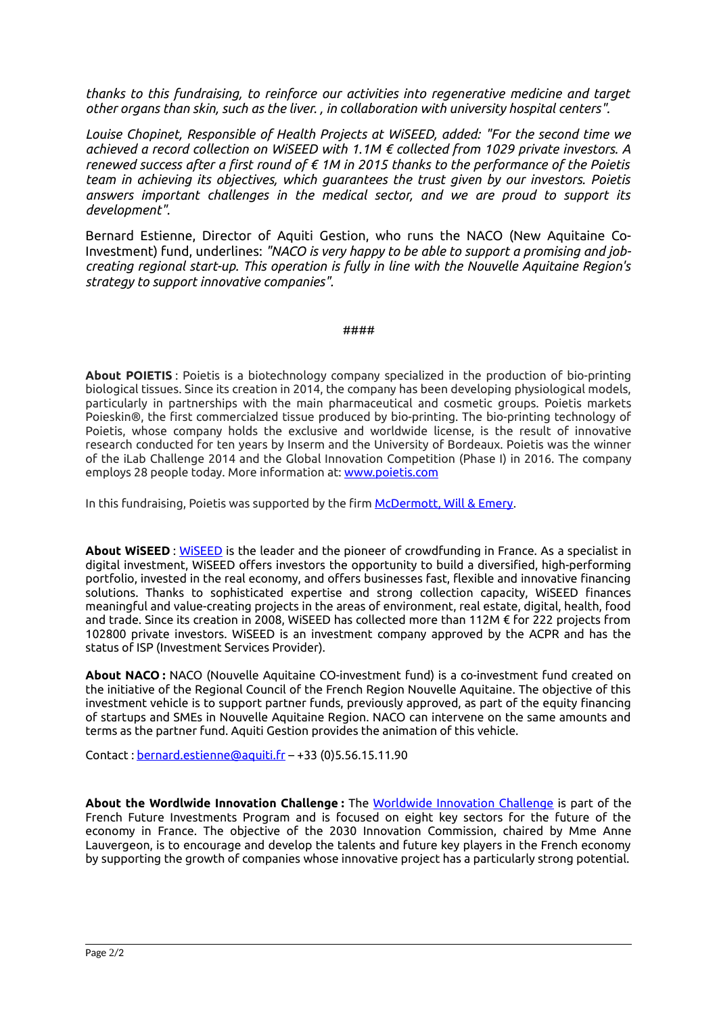*thanks to this fundraising, to reinforce our activities into regenerative medicine and target other organs than skin, such as the liver. , in collaboration with university hospital centers".*

*Louise Chopinet, Responsible of Health Projects at WiSEED, added: "For the second time we achieved a record collection on WiSEED with 1.1M € collected from 1029 private investors. A renewed success after a first round of € 1M in 2015 thanks to the performance of the Poietis team in achieving its objectives, which guarantees the trust given by our investors. Poietis answers important challenges in the medical sector, and we are proud to support its development".*

Bernard Estienne, Director of Aquiti Gestion, who runs the NACO (New Aquitaine Co-Investment) fund, underlines: *"NACO is very happy to be able to support a promising and jobcreating regional start-up. This operation is fully in line with the Nouvelle Aquitaine Region's strategy to support innovative companies".*

## ####

**About POIETIS** : Poietis is a biotechnology company specialized in the production of bio-printing biological tissues. Since its creation in 2014, the company has been developing physiological models, particularly in partnerships with the main pharmaceutical and cosmetic groups. Poietis markets Poieskin®, the first commercialzed tissue produced by bio-printing. The bio-printing technology of Poietis, whose company holds the exclusive and worldwide license, is the result of innovative research conducted for ten years by Inserm and the University of Bordeaux. Poietis was the winner of the iLab Challenge 2014 and the Global Innovation Competition (Phase I) in 2016. The company employs 28 people today. More information at: [www.poietis.com](http://www.poietis.com/)

In this fundraising, Poietis was supported by the firm [McDermott, Will & Emery.](http://www.mwe.com/Paris-France/)

**About WiSEED** : [WiSEED](http://www.wiseed.fr/) is the leader and the pioneer of crowdfunding in France. As a specialist in digital investment, WiSEED offers investors the opportunity to build a diversified, high-performing portfolio, invested in the real economy, and offers businesses fast, flexible and innovative financing solutions. Thanks to sophisticated expertise and strong collection capacity, WiSEED finances meaningful and value-creating projects in the areas of environment, real estate, digital, health, food and trade. Since its creation in 2008, WiSEED has collected more than 112M € for 222 projects from 102800 private investors. WiSEED is an investment company approved by the ACPR and has the status of ISP (Investment Services Provider).

**About NACO :** NACO (Nouvelle Aquitaine CO-investment fund) is a co-investment fund created on the initiative of the Regional Council of the French Region Nouvelle Aquitaine. The objective of this investment vehicle is to support partner funds, previously approved, as part of the equity financing of startups and SMEs in Nouvelle Aquitaine Region. NACO can intervene on the same amounts and terms as the partner fund. Aquiti Gestion provides the animation of this vehicle.

Contact : [bernard.estienne@aquiti.fr](mailto:bernard.estienne@aquiti.fr) – +33 (0)5.56.15.11.90

**About the Wordlwide Innovation Challenge :** The [Worldwide Innovation Challenge](https://www.entreprises.gouv.fr/innovation-2030) is part of the French Future Investments Program and is focused on eight key sectors for the future of the economy in France. The objective of the 2030 Innovation Commission, chaired by Mme Anne Lauvergeon, is to encourage and develop the talents and future key players in the French economy by supporting the growth of companies whose innovative project has a particularly strong potential.